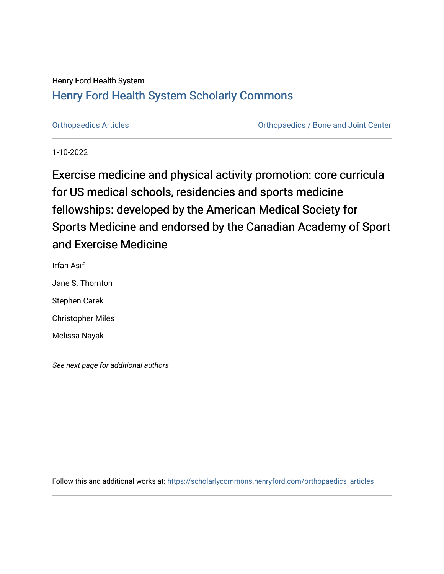## Henry Ford Health System

# [Henry Ford Health System Scholarly Commons](https://scholarlycommons.henryford.com/)

[Orthopaedics Articles](https://scholarlycommons.henryford.com/orthopaedics_articles) [Orthopaedics / Bone and Joint Center](https://scholarlycommons.henryford.com/orthopaedics) 

1-10-2022

Exercise medicine and physical activity promotion: core curricula for US medical schools, residencies and sports medicine fellowships: developed by the American Medical Society for Sports Medicine and endorsed by the Canadian Academy of Sport and Exercise Medicine

Irfan Asif Jane S. Thornton Stephen Carek Christopher Miles Melissa Nayak

See next page for additional authors

Follow this and additional works at: [https://scholarlycommons.henryford.com/orthopaedics\\_articles](https://scholarlycommons.henryford.com/orthopaedics_articles?utm_source=scholarlycommons.henryford.com%2Forthopaedics_articles%2F386&utm_medium=PDF&utm_campaign=PDFCoverPages)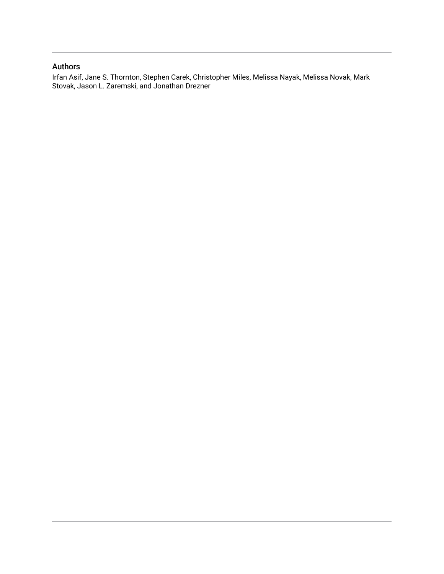## Authors

Irfan Asif, Jane S. Thornton, Stephen Carek, Christopher Miles, Melissa Nayak, Melissa Novak, Mark Stovak, Jason L. Zaremski, and Jonathan Drezner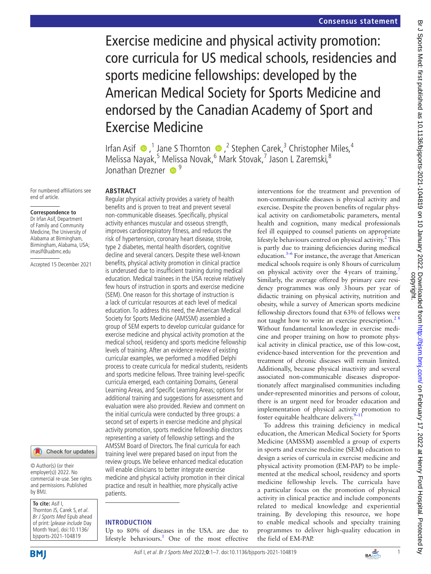Exercise medicine and physical activity promotion: core curricula for US medical schools, residencies and sports medicine fellowships: developed by the American Medical Society for Sports Medicine and endorsed by the Canadian Academy of Sport and Exercise Medicine

IrfanAsif  $\bullet$ ,<sup>1</sup> Jane S Thornton  $\bullet$ ,<sup>2</sup> Stephen Carek,<sup>3</sup> Christopher Miles,<sup>4</sup> Melissa Nayak,<sup>5</sup> Melissa Novak,<sup>6</sup> Mark Stovak,<sup>7</sup> Jason L Zaremski,<sup>8</sup> Ionathan Drezner  $\bullet$ <sup>9</sup>

For numbered affiliations see end of article.

#### **Correspondence to**

Dr Irfan Asif, Department of Family and Community Medicine, The University of Alabama at Birmingham, Birmingham, Alabama, USA; imasif@uabmc.edu

Accepted 15 December 2021

## Check for updates

© Author(s) (or their employer(s)) 2022. No commercial re-use. See rights and permissions. Published by BMJ.

#### **To cite:** Asif I,

Thornton JS, Carek S, et al. Br J Sports Med Epub ahead of print: [please include Day Month Year]. doi:10.1136/ bjsports-2021-104819

#### **ABSTRACT**

Regular physical activity provides a variety of health benefits and is proven to treat and prevent several non-communicable diseases. Specifically, physical activity enhances muscular and osseous strength, improves cardiorespiratory fitness, and reduces the risk of hypertension, coronary heart disease, stroke, type 2 diabetes, mental health disorders, cognitive decline and several cancers. Despite these well-known benefits, physical activity promotion in clinical practice is underused due to insufficient training during medical education. Medical trainees in the USA receive relatively few hours of instruction in sports and exercise medicine (SEM). One reason for this shortage of instruction is a lack of curricular resources at each level of medical education. To address this need, the American Medical Society for Sports Medicine (AMSSM) assembled a group of SEM experts to develop curricular guidance for exercise medicine and physical activity promotion at the medical school, residency and sports medicine fellowship levels of training. After an evidence review of existing curricular examples, we performed a modified Delphi process to create curricula for medical students, residents and sports medicine fellows. Three training level-specific curricula emerged, each containing Domains, General Learning Areas, and Specific Learning Areas; options for additional training and suggestions for assessment and evaluation were also provided. Review and comment on the initial curricula were conducted by three groups: a second set of experts in exercise medicine and physical activity promotion, sports medicine fellowship directors representing a variety of fellowship settings and the AMSSM Board of Directors. The final curricula for each training level were prepared based on input from the review groups. We believe enhanced medical education will enable clinicians to better integrate exercise medicine and physical activity promotion in their clinical practice and result in healthier, more physically active patients.

#### **INTRODUCTION**

Up to 80% of diseases in the USA. are due to lifestyle behaviours.<sup>[1](#page-8-0)</sup> One of the most effective interventions for the treatment and prevention of non-communicable diseases is physical activity and exercise. Despite the proven benefits of regular physical activity on cardiometabolic parameters, mental health and cognition, many medical professionals feel ill equipped to counsel patients on appropriate lifestyle behaviours centred on physical activity.<sup>[2](#page-8-1)</sup> This is partly due to training deficiencies during medical education[.3–6](#page-8-2) For instance, the average that American medical schools require is only 8hours of curriculum on physical activity over the 4years of training.<sup>7</sup> Similarly, the average offered by primary care residency programmes was only 3hours per year of didactic training on physical activity, nutrition and obesity, while a survey of American sports medicine fellowship directors found that 63% of fellows were not taught how to write an exercise prescription.<sup>28</sup> Without fundamental knowledge in exercise medicine and proper training on how to promote physical activity in clinical practice, use of this low-cost, evidence-based intervention for the prevention and treatment of chronic diseases will remain limited. Additionally, because physical inactivity and several associated non-communicable diseases disproportionately affect marginalised communities including under-represented minorities and persons of colour, there is an urgent need for broader education and implementation of physical activity promotion to foster equitable healthcare delivery. $9-11$ 

To address this training deficiency in medical education, the American Medical Society for Sports Medicine (AMSSM) assembled a group of experts in sports and exercise medicine (SEM) education to design a series of curricula in exercise medicine and physical activity promotion (EM-PAP) to be implemented at the medical school, residency and sports medicine fellowship levels. The curricula have a particular focus on the promotion of physical activity in clinical practice and include components related to medical knowledge and experiential training. By developing this resource, we hope to enable medical schools and specialty training programmes to deliver high-quality education in the field of EM-PAP.

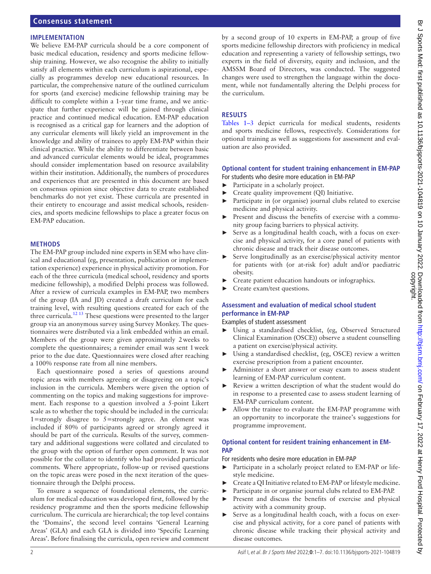#### **IMPLEMENTATION**

We believe EM-PAP curricula should be a core component of basic medical education, residency and sports medicine fellowship training. However, we also recognise the ability to initially satisfy all elements within each curriculum is aspirational, especially as programmes develop new educational resources. In particular, the comprehensive nature of the outlined curriculum for sports (and exercise) medicine fellowship training may be difficult to complete within a 1-year time frame, and we anticipate that further experience will be gained through clinical practice and continued medical education. EM-PAP education is recognised as a critical gap for learners and the adoption of any curricular elements will likely yield an improvement in the knowledge and ability of trainees to apply EM-PAP within their clinical practice. While the ability to differentiate between basic and advanced curricular elements would be ideal, programmes should consider implementation based on resource availability within their institution. Additionally, the numbers of procedures and experiences that are presented in this document are based on consensus opinion since objective data to create established benchmarks do not yet exist. These curricula are presented in their entirety to encourage and assist medical schools, residencies, and sports medicine fellowships to place a greater focus on EM-PAP education.

#### **METHODS**

The EM-PAP group included nine experts in SEM who have clinical and educational (eg, presentation, publication or implementation experience) experience in physical activity promotion. For each of the three curricula (medical school, residency and sports medicine fellowship), a modified Delphi process was followed. After a review of curricula examples in EM-PAP, two members of the group (IA and JD) created a draft curriculum for each training level, with resulting questions created for each of the three curricula.<sup>[12 13](#page-8-5)</sup> These questions were presented to the larger group via an anonymous survey using Survey Monkey. The questionnaires were distributed via a link embedded within an email. Members of the group were given approximately 2weeks to complete the questionnaires; a reminder email was sent 1week prior to the due date. Questionnaires were closed after reaching a 100% response rate from all nine members.

Each questionnaire posed a series of questions around topic areas with members agreeing or disagreeing on a topic's inclusion in the curricula. Members were given the option of commenting on the topics and making suggestions for improvement. Each response to a question involved a 5-point Likert scale as to whether the topic should be included in the curricula: 1=strongly disagree to 5=strongly agree. An element was included if 80% of participants agreed or strongly agreed it should be part of the curricula. Results of the survey, commentary and additional suggestions were collated and circulated to the group with the option of further open comment. It was not possible for the collator to identify who had provided particular comments. Where appropriate, follow-up or revised questions on the topic areas were posed in the next iteration of the questionnaire through the Delphi process.

To ensure a sequence of foundational elements, the curriculum for medical education was developed first, followed by the residency programme and then the sports medicine fellowship curriculum. The curricula are hierarchical; the top level contains the 'Domains', the second level contains 'General Learning Areas' (GLA) and each GLA is divided into 'Specific Learning Areas'. Before finalising the curricula, open review and comment

by a second group of 10 experts in EM-PAP, a group of five sports medicine fellowship directors with proficiency in medical education and representing a variety of fellowship settings, two experts in the field of diversity, equity and inclusion, and the AMSSM Board of Directors, was conducted. The suggested changes were used to strengthen the language within the document, while not fundamentally altering the Delphi process for the curriculum.

#### **RESULTS**

[Tables](#page-4-0) 1–3 depict curricula for medical students, residents and sports medicine fellows, respectively. Considerations for optional training as well as suggestions for assessment and evaluation are also provided.

### **Optional content for student training enhancement in EM-PAP**

- For students who desire more education in EM-PAP ► Participate in a scholarly project.
- Create quality improvement (QI) Initiative.
- Participate in (or organise) journal clubs related to exercise medicine and physical activity.
- Present and discuss the benefits of exercise with a community group facing barriers to physical activity.
- ► Serve as a longitudinal health coach, with a focus on exercise and physical activity, for a core panel of patients with chronic disease and track their disease outcomes.
- Serve longitudinally as an exercise/physical activity mentor for patients with (or at-risk for) adult and/or paediatric obesity.
- Create patient education handouts or infographics.
- Create exam/test questions.

### **Assessment and evaluation of medical school student performance in EM-PAP**

Examples of student assessment

- ► Using a standardised checklist, (eg, Observed Structured Clinical Examination (OSCE)) observe a student counselling a patient on exercise/physical activity.
- Using a standardised checklist, (eg, OSCE) review a written exercise prescription from a patient encounter.
- Administer a short answer or essay exam to assess student learning of EM-PAP curriculum content.
- Review a written description of what the student would do in response to a presented case to assess student learning of EM-PAP curriculum content.
- ► Allow the trainee to evaluate the EM-PAP programme with an opportunity to incorporate the trainee's suggestions for programme improvement.

#### **Optional content for resident training enhancement in EM-PAP**

For residents who desire more education in EM-PAP

- ► Participate in a scholarly project related to EM-PAP or lifestyle medicine.
- Create a QI Initiative related to EM-PAP or lifestyle medicine.
- Participate in or organise journal clubs related to EM-PAP.
- ► Present and discuss the benefits of exercise and physical activity with a community group.
- Serve as a longitudinal health coach, with a focus on exercise and physical activity, for a core panel of patients with chronic disease while tracking their physical activity and disease outcomes.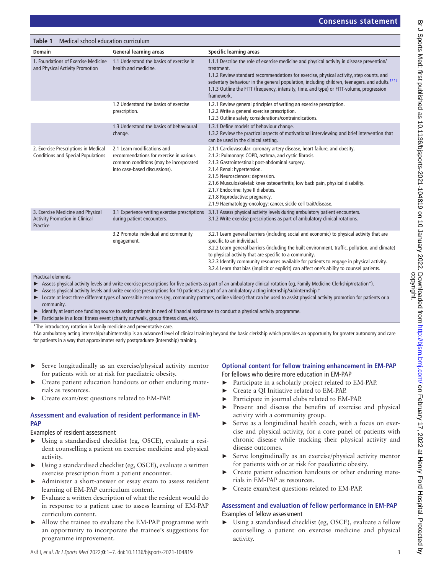<span id="page-4-0"></span>

| Medical school education curriculum<br>Table 1                                         |                                                                                                                                                   |                                                                                                                                                                                                                                                                                                                                                                                                                                                                                      |  |
|----------------------------------------------------------------------------------------|---------------------------------------------------------------------------------------------------------------------------------------------------|--------------------------------------------------------------------------------------------------------------------------------------------------------------------------------------------------------------------------------------------------------------------------------------------------------------------------------------------------------------------------------------------------------------------------------------------------------------------------------------|--|
| <b>Domain</b>                                                                          | <b>General learning areas</b>                                                                                                                     | Specific learning areas                                                                                                                                                                                                                                                                                                                                                                                                                                                              |  |
| 1. Foundations of Exercise Medicine<br>and Physical Activity Promotion                 | 1.1 Understand the basics of exercise in<br>health and medicine.                                                                                  | 1.1.1 Describe the role of exercise medicine and physical activity in disease prevention/<br>treatment.<br>1.1.2 Review standard recommendations for exercise, physical activity, step counts, and<br>sedentary behaviour in the general population, including children, teenagers, and adults. <sup>1718</sup><br>1.1.3 Outline the FITT (frequency, intensity, time, and type) or FITT-volume, progression<br>framework.                                                           |  |
|                                                                                        | 1.2 Understand the basics of exercise<br>prescription.                                                                                            | 1.2.1 Review general principles of writing an exercise prescription.<br>1.2.2 Write a general exercise prescription.<br>1.2.3 Outline safety considerations/contraindications.                                                                                                                                                                                                                                                                                                       |  |
|                                                                                        | 1.3 Understand the basics of behavioural<br>change.                                                                                               | 1.3.1 Define models of behaviour change.<br>1.3.2 Review the practical aspects of motivational interviewing and brief intervention that<br>can be used in the clinical setting.                                                                                                                                                                                                                                                                                                      |  |
| 2. Exercise Prescriptions in Medical<br><b>Conditions and Special Populations</b>      | 2.1 Learn modifications and<br>recommendations for exercise in various<br>common conditions (may be incorporated<br>into case-based discussions). | 2.1.1 Cardiovascular: coronary artery disease, heart failure, and obesity.<br>2.1.2: Pulmonary: COPD, asthma, and cystic fibrosis.<br>2.1.3 Gastrointestinal: post-abdominal surgery.<br>2.1.4 Renal: hypertension.<br>2.1.5 Neurosciences: depression.<br>2.1.6 Musculoskeletal: knee osteoarthritis, low back pain, physical disability.<br>2.1.7 Endocrine: type II diabetes.<br>2.1.8 Reproductive: pregnancy.<br>2.1.9 Haematology-oncology: cancer, sickle cell trait/disease. |  |
| 3. Exercise Medicine and Physical<br><b>Activity Promotion in Clinical</b><br>Practice | 3.1 Experience writing exercise prescriptions<br>during patient encounters.                                                                       | 3.1.1 Assess physical activity levels during ambulatory patient encounters.<br>3.1.2 Write exercise prescriptions as part of ambulatory clinical rotations.                                                                                                                                                                                                                                                                                                                          |  |
|                                                                                        | 3.2 Promote individual and community<br>engagement.                                                                                               | 3.2.1 Learn general barriers (including social and economic) to physical activity that are<br>specific to an individual.<br>3.2.2 Learn general barriers (including the built environment, traffic, pollution, and climate)<br>to physical activity that are specific to a community.<br>3.2.3 Identify community resources available for patients to engage in physical activity.<br>3.2.4 Learn that bias (implicit or explicit) can affect one's ability to counsel patients.     |  |

Practical elements

- ► Assess physical activity levels and write exercise prescriptions for five patients as part of an ambulatory clinical rotation (eq, Family Medicine Clerkship/rotation\*).
- Assess physical activity levels and write exercise prescriptions for 10 patients as part of an ambulatory acting internship/subinternship.t
- ► Locate at least three different types of accessible resources (eg, community partners, online videos) that can be used to assist physical activity promotion for patients or a community.
- Identify at least one funding source to assist patients in need of financial assistance to conduct a physical activity programme.
- ► Participate in a local fitness event (charity run/walk, group fitness class, etc).
- \*The introductory rotation in family medicine and preventative care.

†An ambulatory acting internship/subinternship is an advanced level of clinical training beyond the basic clerkship which provides an opportunity for greater autonomy and care for patients in a way that approximates early postgraduate (internship) training.

- Serve longitudinally as an exercise/physical activity mentor for patients with or at risk for paediatric obesity.
- Create patient education handouts or other enduring materials as resources.
- ► Create exam/test questions related to EM-PAP.

#### **Assessment and evaluation of resident performance in EM-PAP**

#### Examples of resident assessment

- ► Using a standardised checklist (eg, OSCE), evaluate a resident counselling a patient on exercise medicine and physical activity.
- Using a standardised checklist (eg, OSCE), evaluate a written exercise prescription from a patient encounter.
- Administer a short-answer or essay exam to assess resident learning of EM-PAP curriculum content.
- ► Evaluate a written description of what the resident would do in response to a patient case to assess learning of EM-PAP curriculum content.
- Allow the trainee to evaluate the EM-PAP programme with an opportunity to incorporate the trainee's suggestions for programme improvement.

#### **Optional content for fellow training enhancement in EM-PAP**

For fellows who desire more education in EM-PAP

- Participate in a scholarly project related to EM-PAP.
- ► Create a QI Initiative related to EM-PAP.
- Participate in journal clubs related to EM-PAP.
- Present and discuss the benefits of exercise and physical activity with a community group.
- Serve as a longitudinal health coach, with a focus on exercise and physical activity, for a core panel of patients with chronic disease while tracking their physical activity and disease outcomes.
- Serve longitudinally as an exercise/physical activity mentor for patients with or at risk for paediatric obesity.
- Create patient education handouts or other enduring materials in EM-PAP as resources.
- ► Create exam/test questions related to EM-PAP.

#### **Assessment and evaluation of fellow performance in EM-PAP** Examples of fellow assessment

Using a standardised checklist (eg, OSCE), evaluate a fellow counselling a patient on exercise medicine and physical activity.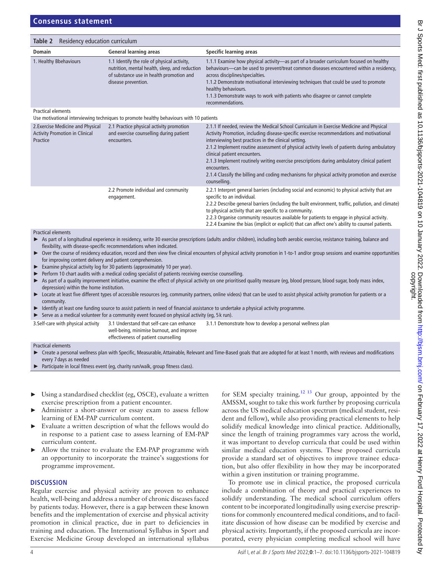| <b>Domain</b>                                                                          | <b>General learning areas</b>                                                                                                                                    | Specific learning areas                                                                                                                                                                                                                                                                                                                                                                                                                 |
|----------------------------------------------------------------------------------------|------------------------------------------------------------------------------------------------------------------------------------------------------------------|-----------------------------------------------------------------------------------------------------------------------------------------------------------------------------------------------------------------------------------------------------------------------------------------------------------------------------------------------------------------------------------------------------------------------------------------|
| 1. Healthy Bbehaviours                                                                 | 1.1 Identify the role of physical activity,<br>nutrition, mental health, sleep, and reduction<br>of substance use in health promotion and<br>disease prevention. | 1.1.1 Examine how physical activity—as part of a broader curriculum focused on healthy<br>behaviours—can be used to prevent/treat common diseases encountered within a residency,<br>across disciplines/specialties.<br>1.1.2 Demonstrate motivational interviewing techniques that could be used to promote<br>healthy behaviours.<br>1.1.3 Demonstrate ways to work with patients who disagree or cannot complete<br>recommendations. |
| <b>Practical elements</b>                                                              |                                                                                                                                                                  |                                                                                                                                                                                                                                                                                                                                                                                                                                         |
|                                                                                        | Use motivational interviewing techniques to promote healthy behaviours with 10 patients                                                                          |                                                                                                                                                                                                                                                                                                                                                                                                                                         |
| 2. Exercise Medicine and Physical<br><b>Activity Promotion in Clinical</b><br>Practice | 2.1 Practice physical activity promotion<br>and exercise counselling during patient<br>encounters.                                                               | 2.1.1 If needed, review the Medical School Curriculum in Exercise Medicine and Physical<br>Activity Promotion, including disease-specific exercise recommendations and motivational<br>interviewing best practices in the clinical setting.                                                                                                                                                                                             |
|                                                                                        |                                                                                                                                                                  | 2.1.2 Implement routine assessment of physical activity levels of patients during ambulatory<br>clinical patient encounters.                                                                                                                                                                                                                                                                                                            |
|                                                                                        |                                                                                                                                                                  | 2.1.3 Implement routinely writing exercise prescriptions during ambulatory clinical patient<br>encounters.                                                                                                                                                                                                                                                                                                                              |
|                                                                                        |                                                                                                                                                                  | 2.1.4 Classify the billing and coding mechanisms for physical activity promotion and exercise<br>counselling.                                                                                                                                                                                                                                                                                                                           |

| 2.2 Promote individual and community | 2.2.1 Interpret general barriers (including social and economic) to physical activity that are     |
|--------------------------------------|----------------------------------------------------------------------------------------------------|
| engagement.                          | specific to an individual.                                                                         |
|                                      | 2.2.2 Describe general barriers (including the built environment, traffic, pollution, and climate) |
|                                      | to physical activity that are specific to a community.                                             |
|                                      | 2.2.3 Organise community resources available for patients to engage in physical activity.          |
|                                      | 2.2.4 Examine the bias (implicit or explicit) that can affect one's ability to counsel patients.   |

#### Practical elements

- ► As part of a longitudinal experience in residency, write 30 exercise prescriptions (adults and/or children), including both aerobic exercise, resistance training, balance and flexibility, with disease-specific recommendations when indicated.
- Over the course of residency education, record and then view five clinical encounters of physical activity promotion in 1-to-1 and/or group sessions and examine opportunities for improving content delivery and patient comprehension.
- Examine physical activity log for 30 patients (approximately 10 per year).
- Perform 10 chart audits with a medical coding specialist of patients receiving exercise counselling.
- As part of a quality improvement initiative, examine the effect of physical activity on one prioritised quality measure (eg, blood pressure, blood sugar, body mass index, depression) within the home institution.
- Locate at least five different types of accessible resources (eq, community partners, online videos) that can be used to assist physical activity promotion for patients or a community.
- Identify at least one funding source to assist patients in need of financial assistance to undertake a physical activity programme.
- ► Serve as a medical volunteer for a community event focused on physical activity (eg, 5 k run).

3.Self-care with physical activity 3.1 Understand that self-care can enhance well-being, minimise burnout, and improve 3.1.1 Demonstrate how to develop a personal wellness plan

effectiveness of patient counselling

#### Practical elements

- ► Create a personal wellness plan with Specific, Measurable, Attainable, Relevant and Time-Based goals that are adopted for at least 1month, with reviews and modifications every 7 days as needed
- Participate in local fitness event (eg, charity run/walk, group fitness class).
- ► Using a standardised checklist (eg, OSCE), evaluate a written exercise prescription from a patient encounter.
- Administer a short-answer or essay exam to assess fellow learning of EM-PAP curriculum content.
- Evaluate a written description of what the fellows would do in response to a patient case to assess learning of EM-PAP curriculum content.
- Allow the trainee to evaluate the EM-PAP programme with an opportunity to incorporate the trainee's suggestions for programme improvement.

#### **DISCUSSION**

Regular exercise and physical activity are proven to enhance health, well-being and address a number of chronic diseases faced by patients today. However, there is a gap between these known benefits and the implementation of exercise and physical activity promotion in clinical practice, due in part to deficiencies in training and education. The International Syllabus in Sport and Exercise Medicine Group developed an international syllabus

for SEM specialty training[.12 13](#page-8-5) Our group, appointed by the AMSSM, sought to take this work further by proposing curricula across the US medical education spectrum (medical student, resident and fellow), while also providing practical elements to help solidify medical knowledge into clinical practice. Additionally, since the length of training programmes vary across the world, it was important to develop curricula that could be used within similar medical education systems. These proposed curricula provide a standard set of objectives to improve trainee education, but also offer flexibility in how they may be incorporated within a given institution or training programme.

To promote use in clinical practice, the proposed curricula include a combination of theory and practical experiences to solidify understanding. The medical school curriculum offers content to be incorporated longitudinally using exercise prescriptions for commonly encountered medical conditions, and to facilitate discussion of how disease can be modified by exercise and physical activity. Importantly, if the proposed curricula are incorporated, every physician completing medical school will have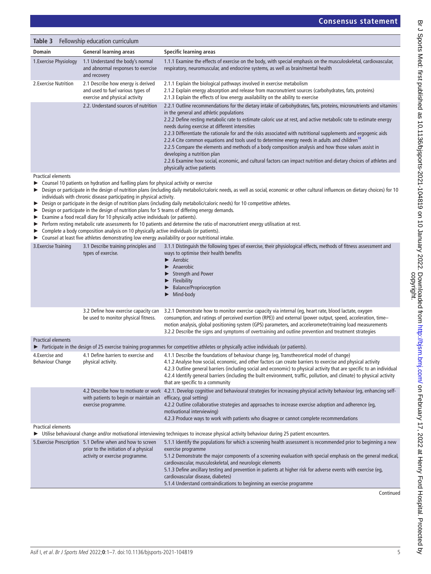| Fellowship education curriculum<br>Table 3 |                                                                                                           |                                                                                                                                                                                                                                                                                                                                                                                                                                                                                                                                                                                                                                                                                                                                                                                                                                                               |
|--------------------------------------------|-----------------------------------------------------------------------------------------------------------|---------------------------------------------------------------------------------------------------------------------------------------------------------------------------------------------------------------------------------------------------------------------------------------------------------------------------------------------------------------------------------------------------------------------------------------------------------------------------------------------------------------------------------------------------------------------------------------------------------------------------------------------------------------------------------------------------------------------------------------------------------------------------------------------------------------------------------------------------------------|
| <b>Domain</b>                              | <b>General learning areas</b>                                                                             | Specific learning areas                                                                                                                                                                                                                                                                                                                                                                                                                                                                                                                                                                                                                                                                                                                                                                                                                                       |
| 1. Exercise Physiology                     | 1.1 Understand the body's normal<br>and abnormal responses to exercise<br>and recovery                    | 1.1.1 Examine the effects of exercise on the body, with special emphasis on the musculoskeletal, cardiovascular,<br>respiratory, neuromuscular, and endocrine systems, as well as brain/mental health                                                                                                                                                                                                                                                                                                                                                                                                                                                                                                                                                                                                                                                         |
| 2. Exercise Nutrition                      | 2.1 Describe how energy is derived<br>and used to fuel various types of<br>exercise and physical activity | 2.1.1 Explain the biological pathways involved in exercise metabolism<br>2.1.2 Explain energy absorption and release from macronutrient sources (carbohydrates, fats, proteins)<br>2.1.3 Explain the effects of low energy availability on the ability to exercise                                                                                                                                                                                                                                                                                                                                                                                                                                                                                                                                                                                            |
|                                            | 2.2. Understand sources of nutrition                                                                      | 2.2.1 Outline recommendations for the dietary intake of carbohydrates, fats, proteins, micronutrients and vitamins<br>in the general and athletic populations<br>2.2.2 Define resting metabolic rate to estimate caloric use at rest, and active metabolic rate to estimate energy<br>needs during exercise at different intensities<br>2.2.3 Differentiate the rationale for and the risks associated with nutritional supplements and ergogenic aids<br>2.2.4 Cite common equations and tools used to determine energy needs in adults and children <sup>18</sup><br>2.2.5 Compare the elements and methods of a body composition analysis and how those values assist in<br>developing a nutrition plan<br>2.2.6 Examine how social, economic, and cultural factors can impact nutrition and dietary choices of athletes and<br>physically active patients |

Practical elements

► Counsel 10 patients on hydration and fuelling plans for physical activity or exercise

- ► Design or participate in the design of nutrition plans (including daily metabolic/caloric needs, as well as social, economic or other cultural influences on dietary choices) for 10 individuals with chronic disease participating in physical activity.
- ► Design or participate in the design of nutrition plans (including daily metabolic/caloric needs) for 10 competitive athletes.
- ► Design or participate in the design of nutrition plans for 5 teams of differing energy demands.
- ► Examine a food recall diary for 10 physically active individuals (or patients).
- ► Perform resting metabolic rate assessments for 10 patients and determine the ratio of macronutrient energy utilisation at rest.
- ► Complete a body composition analysis on 10 physically active individuals (or patients).
- ► Counsel at least five athletes demonstrating low energy availability or poor nutritional intake.

| 3. Exercise Training                       | 3.1 Describe training principles and<br>types of exercise.                                                                             | 3.1.1 Distinguish the following types of exercise, their physiological effects, methods of fitness assessment and<br>ways to optimise their health benefits<br>$\blacktriangleright$ Aerobic<br>Anaerobic<br>▶<br><b>Strength and Power</b><br>Flexibility<br><b>Balance/Proprioception</b><br>Mind-body                                                                                                                                                                                          |
|--------------------------------------------|----------------------------------------------------------------------------------------------------------------------------------------|---------------------------------------------------------------------------------------------------------------------------------------------------------------------------------------------------------------------------------------------------------------------------------------------------------------------------------------------------------------------------------------------------------------------------------------------------------------------------------------------------|
|                                            | 3.2 Define how exercise capacity can<br>be used to monitor physical fitness.                                                           | 3.2.1 Demonstrate how to monitor exercise capacity via internal (eq, heart rate, blood lactate, oxygen<br>consumption, and ratings of perceived exertion (RPE)) and external (power output, speed, acceleration, time-<br>motion analysis, global positioning system (GPS) parameters, and accelerometer)training load measurements<br>3.2.2 Describe the signs and symptoms of overtraining and outline prevention and treatment strategies                                                      |
| <b>Practical elements</b>                  |                                                                                                                                        |                                                                                                                                                                                                                                                                                                                                                                                                                                                                                                   |
|                                            |                                                                                                                                        | ► Participate in the design of 25 exercise training programmes for competitive athletes or physically active individuals (or patients).                                                                                                                                                                                                                                                                                                                                                           |
| 4. Exercise and<br><b>Behaviour Change</b> | 4.1 Define barriers to exercise and<br>physical activity.                                                                              | 4.1.1 Describe the foundations of behaviour change (eq, Transtheoretical model of change)<br>4.1.2 Analyse how social, economic, and other factors can create barriers to exercise and physical activity<br>4.2.3 Outline general barriers (including social and economic) to physical activity that are specific to an individual<br>4.2.4 Identify general barriers (including the built environment, traffic, pollution, and climate) to physical activity<br>that are specific to a community |
|                                            | with patients to begin or maintain an efficacy, goal setting)<br>exercise programme.                                                   | 4.2 Describe how to motivate or work 4.2.1. Develop cognitive and behavioural strategies for increasing physical activity behaviour (eq, enhancing self-<br>4.2.2 Outline collaborative strategies and approaches to increase exercise adoption and adherence (eq,<br>motivational interviewing)<br>4.2.3 Produce ways to work with patients who disagree or cannot complete recommendations                                                                                                      |
| <b>Practical elements</b>                  |                                                                                                                                        | > Utilise behavioural change and/or motivational interviewing techniques to increase physical activity behaviour during 25 patient encounters.                                                                                                                                                                                                                                                                                                                                                    |
|                                            | 5. Exercise Prescription 5.1 Define when and how to screen<br>prior to the initiation of a physical<br>activity or exercise programme. | 5.1.1 Identify the populations for which a screening health assessment is recommended prior to beginning a new<br>exercise programme<br>5.1.2 Demonstrate the major components of a screening evaluation with special emphasis on the general medical,<br>cardiovascular, musculoskeletal, and neurologic elements<br>5.1.3 Define ancillary testing and prevention in patients at higher risk for adverse events with exercise (eg,<br>cardiovascular disease, diabetes)                         |

5.1.4 Understand contraindications to beginning an exercise programme

Continued

Br J Sports Med: first published as 10.1136/bjsports-2021-104819 on 10 January 2022. Downloaded from http://bjsm.bmj.com/ on February 17, 2022 at Henry Ford Hospital. Protected by<br>copyright. Br J Sports Med: first published as 10.1136/bjsports-2021-104819 on 10 January 2022. Downloaded from <http://bjsm.bmj.com/> February 17, 2022 at Henry Ford as 10.1136/bjsports-2021-104819 on 10 January 2022. Downloaded from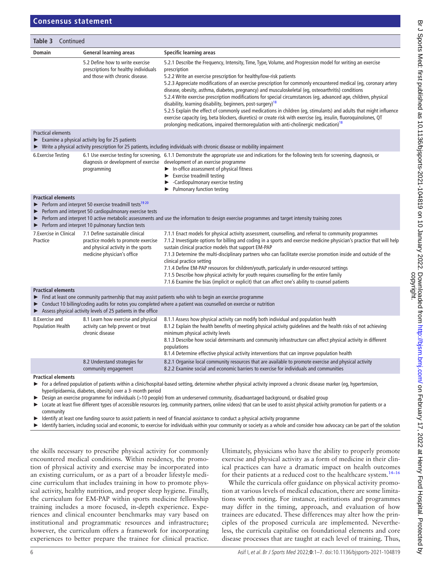| Table 3<br>Continued                                                                                                                                                                                                                                                                                                                                                        |                                                                                                                                              |                                                                                                                                                                                                                                                                                                                                                                                                                                                                                                                                                                                                                                                                                                                                                                                                                                                                                                                                                                         |  |
|-----------------------------------------------------------------------------------------------------------------------------------------------------------------------------------------------------------------------------------------------------------------------------------------------------------------------------------------------------------------------------|----------------------------------------------------------------------------------------------------------------------------------------------|-------------------------------------------------------------------------------------------------------------------------------------------------------------------------------------------------------------------------------------------------------------------------------------------------------------------------------------------------------------------------------------------------------------------------------------------------------------------------------------------------------------------------------------------------------------------------------------------------------------------------------------------------------------------------------------------------------------------------------------------------------------------------------------------------------------------------------------------------------------------------------------------------------------------------------------------------------------------------|--|
| Domain                                                                                                                                                                                                                                                                                                                                                                      | <b>General learning areas</b>                                                                                                                | Specific learning areas                                                                                                                                                                                                                                                                                                                                                                                                                                                                                                                                                                                                                                                                                                                                                                                                                                                                                                                                                 |  |
|                                                                                                                                                                                                                                                                                                                                                                             | 5.2 Define how to write exercise<br>prescriptions for healthy individuals<br>and those with chronic disease.                                 | 5.2.1 Describe the Frequency, Intensity, Time, Type, Volume, and Progression model for writing an exercise<br>prescription<br>5.2.2 Write an exercise prescription for healthy/low-risk patients<br>5.2.3 Appreciate modifications of an exercise prescription for commonly encountered medical (eq, coronary artery<br>disease, obesity, asthma, diabetes, pregnancy) and musculoskeletal (eg, osteoarthritis) conditions<br>5.2.4 Write exercise prescription modifications for special circumstances (eq, advanced age, children, physical<br>disability, learning disability, beginners, post-surgery) <sup>18</sup><br>5.2.5 Explain the effect of commonly used medications in children (eg, stimulants) and adults that might influence<br>exercise capacity (eq, beta blockers, diuretics) or create risk with exercise (eq, insulin, fluoroquinolones, QT<br>prolonging medications, impaired thermoregulation with anti-cholinergic medication) <sup>18</sup> |  |
| <b>Practical elements</b><br>$\blacktriangleright$ Examine a physical activity log for 25 patients<br>► Write a physical activity prescription for 25 patients, including individuals with chronic disease or mobility impairment                                                                                                                                           |                                                                                                                                              |                                                                                                                                                                                                                                                                                                                                                                                                                                                                                                                                                                                                                                                                                                                                                                                                                                                                                                                                                                         |  |
| 6. Exercise Testing                                                                                                                                                                                                                                                                                                                                                         | diagnosis or development of exercise<br>programming                                                                                          | 6.1 Use exercise testing for screening, 6.1.1 Demonstrate the appropriate use and indications for the following tests for screening, diagnosis, or<br>development of an exercise programme<br>$\blacktriangleright$ In-office assessment of physical fitness<br>$\blacktriangleright$ Exercise treadmill testing<br>• Cardiopulmonary exercise testing<br>▶ Pulmonary function testing                                                                                                                                                                                                                                                                                                                                                                                                                                                                                                                                                                                  |  |
| <b>Practical elements</b><br>Perform and interpret 50 exercise treadmill tests <sup>1920</sup><br>Perform and interpret 50 cardiopulmonary exercise tests<br>▶<br>Perform and interpret 10 active metabolic assessments and use the information to design exercise programmes and target intensity training zones<br>Perform and interpret 10 pulmonary function tests<br>▶ |                                                                                                                                              |                                                                                                                                                                                                                                                                                                                                                                                                                                                                                                                                                                                                                                                                                                                                                                                                                                                                                                                                                                         |  |
| 7. Exercise in Clinical<br>Practice                                                                                                                                                                                                                                                                                                                                         | 7.1 Define sustainable clinical<br>practice models to promote exercise<br>and physical activity in the sports<br>medicine physician's office | 7.1.1 Enact models for physical activity assessment, counselling, and referral to community programmes<br>7.1.2 Investigate options for billing and coding in a sports and exercise medicine physician's practice that will help<br>sustain clinical practice models that support EM-PAP<br>7.1.3 Determine the multi-disciplinary partners who can facilitate exercise promotion inside and outside of the<br>clinical practice setting<br>7.1.4 Define EM-PAP resources for children/youth, particularly in under-resourced settings<br>7.1.5 Describe how physical activity for youth requires counselling for the entire family<br>7.1.6 Examine the bias (implicit or explicit) that can affect one's ability to counsel patients                                                                                                                                                                                                                                  |  |
| <b>Practical elements</b><br>Find at least one community partnership that may assist patients who wish to begin an exercise programme<br>▶<br>Conduct 10 billing/coding audits for notes you completed where a patient was counselled on exercise or nutrition<br>> Assess physical activity levels of 25 patients in the office                                            |                                                                                                                                              |                                                                                                                                                                                                                                                                                                                                                                                                                                                                                                                                                                                                                                                                                                                                                                                                                                                                                                                                                                         |  |
| 8. Exercise and<br><b>Population Health</b>                                                                                                                                                                                                                                                                                                                                 | 8.1 Learn how exercise and physical<br>activity can help prevent or treat<br>chronic disease                                                 | 8.1.1 Assess how physical activity can modify both individual and population health<br>8.1.2 Explain the health benefits of meeting physical activity guidelines and the health risks of not achieving<br>minimum physical activity levels<br>8.1.3 Describe how social determinants and community infrastructure can affect physical activity in different<br>populations<br>8.1.4 Determine effective physical activity interventions that can improve population health                                                                                                                                                                                                                                                                                                                                                                                                                                                                                              |  |
|                                                                                                                                                                                                                                                                                                                                                                             | 8.2 Understand strategies for<br>community engagement                                                                                        | 8.2.1 Organise local community resources that are available to promote exercise and physical activity<br>8.2.2 Examine social and economic barriers to exercise for individuals and communities                                                                                                                                                                                                                                                                                                                                                                                                                                                                                                                                                                                                                                                                                                                                                                         |  |
| <b>Practical elements</b><br>▶                                                                                                                                                                                                                                                                                                                                              | hyperlipidaemia, diabetes, obesity) over a 3-month period                                                                                    | For a defined population of patients within a clinic/hospital-based setting, determine whether physical activity improved a chronic disease marker (eg, hypertension,<br>▶ Design an exercise programme for individuals (>10 people) from an underserved community, disadvantaged background, or disabled group<br>Locate at least five different types of accessible resources (eq. community partners, enline videos) that see ho used to assist physical activity promotion for patients or a                                                                                                                                                                                                                                                                                                                                                                                                                                                                        |  |

► Locate at least five different types of accessible resources (eg, community partners, online videos) that can be used to assist physical activity promotion for patients or a community

Identify at least one funding source to assist patients in need of financial assistance to conduct a physical activity programme

Identify barriers, including social and economic, to exercise for individuals within your community or society as a whole and consider how advocacy can be part of the solution

the skills necessary to prescribe physical activity for commonly encountered medical conditions. Within residency, the promotion of physical activity and exercise may be incorporated into an existing curriculum, or as a part of a broader lifestyle medicine curriculum that includes training in how to promote physical activity, healthy nutrition, and proper sleep hygiene. Finally, the curriculum for EM-PAP within sports medicine fellowship training includes a more focused, in-depth experience. Experiences and clinical encounter benchmarks may vary based on institutional and programmatic resources and infrastructure; however, the curriculum offers a framework for incorporating experiences to better prepare the trainee for clinical practice.

Ultimately, physicians who have the ability to properly promote exercise and physical activity as a form of medicine in their clinical practices can have a dramatic impact on health outcomes for their patients at a reduced cost to the healthcare system.<sup>14-16</sup>

While the curricula offer guidance on physical activity promotion at various levels of medical education, there are some limitations worth noting. For instance, institutions and programmes may differ in the timing, approach, and evaluation of how trainees are educated. These differences may alter how the principles of the proposed curricula are implemented. Nevertheless, the curricula capitalise on foundational elements and core disease processes that are taught at each level of training. Thus,